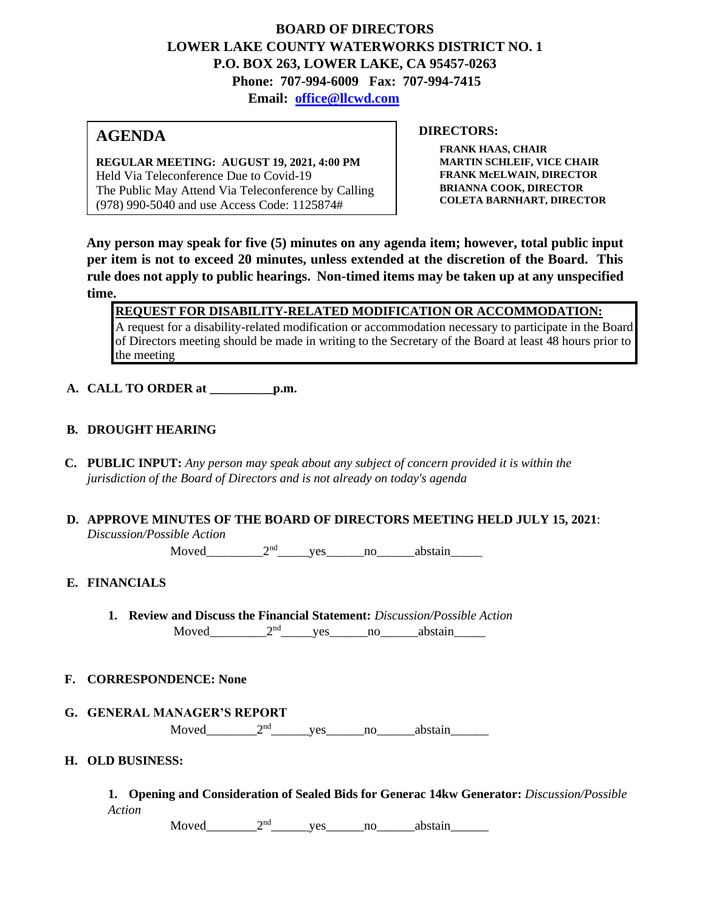# **BOARD OF DIRECTORS LOWER LAKE COUNTY WATERWORKS DISTRICT NO. 1 P.O. BOX 263, LOWER LAKE, CA 95457-0263 Phone: 707-994-6009 Fax: 707-994-7415 Email: office@llcwd.com**

# **AGENDA**

**REGULAR MEETING: AUGUST 19, 2021, 4:00 PM**  Held Via Teleconference Due to Covid-19 The Public May Attend Via Teleconference by Calling (978) 990-5040 and use Access Code: 1125874#

### **DIRECTORS:**

**FRANK HAAS, CHAIR MARTIN SCHLEIF, VICE CHAIR FRANK McELWAIN, DIRECTOR BRIANNA COOK, DIRECTOR COLETA BARNHART, DIRECTOR**

**Any person may speak for five (5) minutes on any agenda item; however, total public input per item is not to exceed 20 minutes, unless extended at the discretion of the Board. This rule does not apply to public hearings. Non-timed items may be taken up at any unspecified time.** 

**REQUEST FOR DISABILITY-RELATED MODIFICATION OR ACCOMMODATION:** A request for a disability-related modification or accommodation necessary to participate in the Board of Directors meeting should be made in writing to the Secretary of the Board at least 48 hours prior to the meeting

**A. CALL TO ORDER at \_\_\_\_\_\_\_\_\_\_p.m.** 

### **B. DROUGHT HEARING**

**C. PUBLIC INPUT:** *Any person may speak about any subject of concern provided it is within the jurisdiction of the Board of Directors and is not already on today's agenda*

### **D. APPROVE MINUTES OF THE BOARD OF DIRECTORS MEETING HELD JULY 15, 2021**: *Discussion/Possible Action*

Moved  $2<sup>nd</sup>$  yes no abstain

## **E. FINANCIALS**

**1. Review and Discuss the Financial Statement:** *Discussion/Possible Action*  $Moved$   $2<sup>nd</sup>$  yes no abstain

### **F. CORRESPONDENCE: None**

**G. GENERAL MANAGER'S REPORT**

Moved\_\_\_\_\_\_\_\_2nd\_\_\_\_\_\_yes\_\_\_\_\_\_no\_\_\_\_\_\_abstain\_\_\_\_\_\_

### **H. OLD BUSINESS:**

**1. Opening and Consideration of Sealed Bids for Generac 14kw Generator:** *Discussion/Possible Action*

Moved  $2<sup>nd</sup>$  yes no abstain